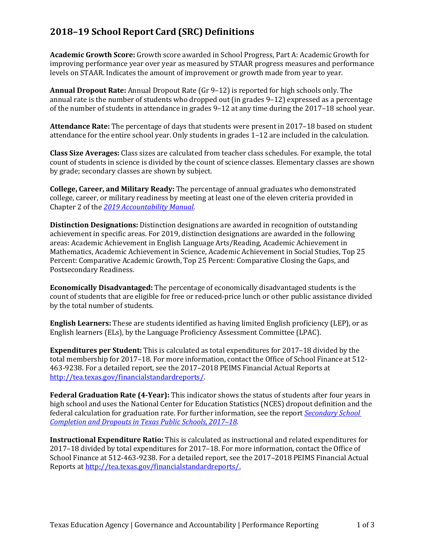## **2018–19 School Report Card (SRC) Definitions**

**Academic Growth Score:** Growth score awarded in School Progress, Part A: Academic Growth for improving performance year over year as measured by STAAR progress measures and performance levels on STAAR. Indicates the amount of improvement or growth made from year to year.

**Annual Dropout Rate:** Annual Dropout Rate (Gr 9–12) is reported for high schools only. The annual rate is the number of students who dropped out (in grades 9–12) expressed as a percentage of the number of students in attendance in grades 9–12 at any time during the 2017–18 school year.

**Attendance Rate:** The percentage of days that students were present in 2017–18 based on student attendance for the entire school year. Only students in grades 1–12 are included in the calculation.

**Class Size Averages:** Class sizes are calculated from teacher class schedules. For example, the total count of students in science is divided by the count of science classes. Elementary classes are shown by grade; secondary classes are shown by subject.

**College, Career, and Military Ready:** The percentage of annual graduates who demonstrated college, career, or military readiness by meeting at least one of the eleven criteria provided in Chapter 2 of the *2019 [Accountability Manual.](https://tea.texas.gov/Student_Testing_and_Accountability/Accountability/State_Accountability/Performance_Reporting/2019_Accountability_Manual)*

**Distinction Designations:** Distinction designations are awarded in recognition of outstanding achievement in specific areas. For 2019, distinction designations are awarded in the following areas: Academic Achievement in English Language Arts/Reading, Academic Achievement in Mathematics, Academic Achievement in Science, Academic Achievement in Social Studies, Top 25 Percent: Comparative Academic Growth, Top 25 Percent: Comparative Closing the Gaps, and Postsecondary Readiness.

**Economically Disadvantaged:** The percentage of economically disadvantaged students is the count of students that are eligible for free or reduced-price lunch or other public assistance divided by the total number of students.

**English Learners:** These are students identified as having limited English proficiency (LEP), or as English learners (ELs), by the Language Proficiency Assessment Committee (LPAC).

**Expenditures per Student:** This is calculated as total expenditures for 2017–18 divided by the total membership for 2017–18. For more information, contact the Office of School Finance at 512- 463-9238. For a detailed report, see the 2017–2018 PEIMS Financial Actual Reports at [http://tea.texas.gov/financialstandardreports/.](http://tea.texas.gov/financialstandardreports/)

**Federal Graduation Rate (4-Year):** This indicator shows the status of students after four years in high school and uses the National Center for Education Statistics (NCES) dropout definition and the federal calculation for graduation rate. For further information, see the report *[Secondary School](https://tea.texas.gov/sites/default/files/dropcomp_2017-18_v3.pdf)  [Completion and Dropouts in Texas Public Schools, 2017–18](https://tea.texas.gov/sites/default/files/dropcomp_2017-18_v3.pdf)*.

**Instructional Expenditure Ratio:** This is calculated as instructional and related expenditures for 2017–18 divided by total expenditures for 2017–18. For more information, contact the Office of School Finance at 512-463-9238. For a detailed report, see the 2017–2018 PEIMS Financial Actual Reports at [http://tea.texas.gov/financialstandardreports/.](http://tea.texas.gov/financialstandardreports/)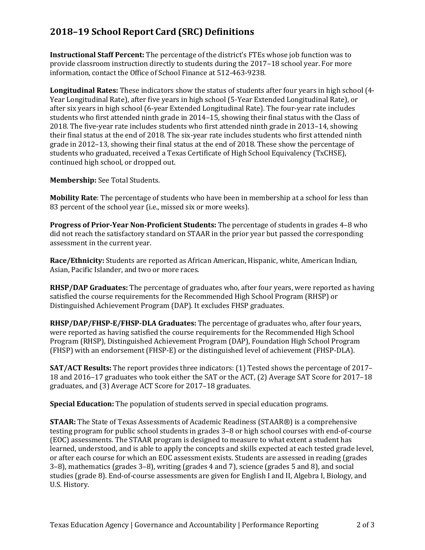## **2018–19 School Report Card (SRC) Definitions**

**Instructional Staff Percent:** The percentage of the district's FTEs whose job function was to provide classroom instruction directly to students during the 2017–18 school year. For more information, contact the Office of School Finance at 512-463-9238.

**Longitudinal Rates:** These indicators show the status of students after four years in high school (4- Year Longitudinal Rate), after five years in high school (5-Year Extended Longitudinal Rate), or after six years in high school (6-year Extended Longitudinal Rate). The four-year rate includes students who first attended ninth grade in 2014–15, showing their final status with the Class of 2018. The five-year rate includes students who first attended ninth grade in 2013–14, showing their final status at the end of 2018. The six-year rate includes students who first attended ninth grade in 2012–13, showing their final status at the end of 2018. These show the percentage of students who graduated, received a Texas Certificate of High School Equivalency (TxCHSE), continued high school, or dropped out.

**Membership:** See Total Students.

**Mobility Rate**: The percentage of students who have been in membership at a school for less than 83 percent of the school year (i.e., missed six or more weeks).

**Progress of Prior-Year Non-Proficient Students:** The percentage of students in grades 4–8 who did not reach the satisfactory standard on STAAR in the prior year but passed the corresponding assessment in the current year.

**Race/Ethnicity:** Students are reported as African American, Hispanic, white, American Indian, Asian, Pacific Islander, and two or more races.

**RHSP/DAP Graduates:** The percentage of graduates who, after four years, were reported as having satisfied the course requirements for the Recommended High School Program (RHSP) or Distinguished Achievement Program (DAP). It excludes FHSP graduates.

**RHSP/DAP/FHSP-E/FHSP-DLA Graduates:** The percentage of graduates who, after four years, were reported as having satisfied the course requirements for the Recommended High School Program (RHSP), Distinguished Achievement Program (DAP), Foundation High School Program (FHSP) with an endorsement (FHSP-E) or the distinguished level of achievement (FHSP-DLA).

**SAT/ACT Results:** The report provides three indicators: (1) Tested shows the percentage of 2017– 18 and 2016–17 graduates who took either the SAT or the ACT, (2) Average SAT Score for 2017–18 graduates, and (3) Average ACT Score for 2017–18 graduates.

**Special Education:** The population of students served in special education programs.

**STAAR:** The State of Texas Assessments of Academic Readiness (STAAR®) is a comprehensive testing program for public school students in grades 3–8 or high school courses with end-of-course (EOC) assessments. The STAAR program is designed to measure to what extent a student has learned, understood, and is able to apply the concepts and skills expected at each tested grade level, or after each course for which an EOC assessment exists. Students are assessed in reading (grades 3–8), mathematics (grades 3–8), writing (grades 4 and 7), science (grades 5 and 8), and social studies (grade 8). End-of-course assessments are given for English I and II, Algebra I, Biology, and U.S. History.